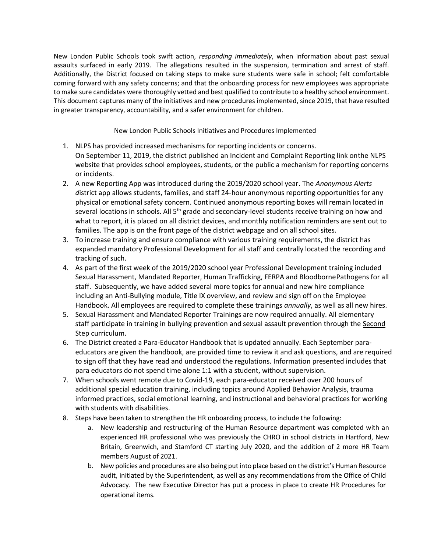New London Public Schools took swift action, *responding immediately*, when information about past sexual assaults surfaced in early 2019. The allegations resulted in the suspension, termination and arrest of staff. Additionally, the District focused on taking steps to make sure students were safe in school; felt comfortable coming forward with any safety concerns; and that the onboarding process for new employees was appropriate to make sure candidates were thoroughly vetted and best qualified to contribute to a healthy school environment. This document captures many of the initiatives and new procedures implemented, since 2019, that have resulted in greater transparency, accountability, and a safer environment for children.

## New London Public Schools Initiatives and Procedures Implemented

- 1. NLPS has provided increased mechanisms for reporting incidents or concerns. On September 11, 2019, the district published an Incident and Complaint Reporting link onthe NLPS website that provides school employees, students, or the public a mechanism for reporting concerns or incidents.
- 2. A new Reporting App was introduced during the 2019/2020 school year**.** The *Anonymous Alerts d*istrict app allows students, families, and staff 24-hour anonymous reporting opportunities for any physical or emotional safety concern. Continued anonymous reporting boxes will remain located in several locations in schools. All 5<sup>th</sup> grade and secondary-level students receive training on how and what to report, it is placed on all district devices, and monthly notification reminders are sent out to families. The app is on the front page of the district webpage and on all school sites.
- 3. To increase training and ensure compliance with various training requirements, the district has expanded mandatory Professional Development for all staff and centrally located the recording and tracking of such.
- 4. As part of the first week of the 2019/2020 school year Professional Development training included Sexual Harassment, Mandated Reporter, Human Trafficking, FERPA and BloodbornePathogens for all staff. Subsequently, we have added several more topics for annual and new hire compliance including an Anti-Bullying module, Title IX overview, and review and sign off on the Employee Handbook. All employees are required to complete these trainings *annually*, as well as all new hires.
- 5. Sexual Harassment and Mandated Reporter Trainings are now required annually. All elementary staff participate in training in bullying prevention and sexual assault prevention through the Second Step curriculum.
- 6. The District created a Para-Educator Handbook that is updated annually. Each September paraeducators are given the handbook, are provided time to review it and ask questions, and are required to sign off that they have read and understood the regulations. Information presented includes that para educators do not spend time alone 1:1 with a student, without supervision.
- 7. When schools went remote due to Covid-19, each para-educator received over 200 hours of additional special education training, including topics around Applied Behavior Analysis, trauma informed practices, social emotional learning, and instructional and behavioral practices for working with students with disabilities.
- 8. Steps have been taken to strengthen the HR onboarding process, to include the following:
	- a. New leadership and restructuring of the Human Resource department was completed with an experienced HR professional who was previously the CHRO in school districts in Hartford, New Britain, Greenwich, and Stamford CT starting July 2020, and the addition of 2 more HR Team members August of 2021.
	- b. New policies and procedures are also being put into place based on the district's Human Resource audit, initiated by the Superintendent, as well as any recommendations from the Office of Child Advocacy. The new Executive Director has put a process in place to create HR Procedures for operational items.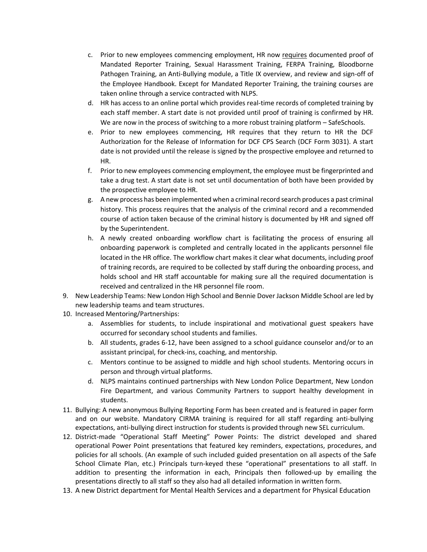- c. Prior to new employees commencing employment, HR now requires documented proof of Mandated Reporter Training, Sexual Harassment Training, FERPA Training, Bloodborne Pathogen Training, an Anti-Bullying module, a Title IX overview, and review and sign-off of the Employee Handbook. Except for Mandated Reporter Training, the training courses are taken online through a service contracted with NLPS.
- d. HR has access to an online portal which provides real-time records of completed training by each staff member. A start date is not provided until proof of training is confirmed by HR. We are now in the process of switching to a more robust training platform – SafeSchools.
- e. Prior to new employees commencing, HR requires that they return to HR the DCF Authorization for the Release of Information for DCF CPS Search (DCF Form 3031). A start date is not provided until the release is signed by the prospective employee and returned to HR.
- f. Prior to new employees commencing employment, the employee must be fingerprinted and take a drug test. A start date is not set until documentation of both have been provided by the prospective employee to HR.
- g. A new process has been implemented when a criminal record search produces a past criminal history. This process requires that the analysis of the criminal record and a recommended course of action taken because of the criminal history is documented by HR and signed off by the Superintendent.
- h. A newly created onboarding workflow chart is facilitating the process of ensuring all onboarding paperwork is completed and centrally located in the applicants personnel file located in the HR office. The workflow chart makes it clear what documents, including proof of training records, are required to be collected by staff during the onboarding process, and holds school and HR staff accountable for making sure all the required documentation is received and centralized in the HR personnel file room.
- 9. New Leadership Teams: New London High School and Bennie Dover Jackson Middle School are led by new leadership teams and team structures.
- 10. Increased Mentoring/Partnerships:
	- a. Assemblies for students, to include inspirational and motivational guest speakers have occurred for secondary school students and families.
	- b. All students, grades 6-12, have been assigned to a school guidance counselor and/or to an assistant principal, for check-ins, coaching, and mentorship.
	- c. Mentors continue to be assigned to middle and high school students. Mentoring occurs in person and through virtual platforms.
	- d. NLPS maintains continued partnerships with New London Police Department, New London Fire Department, and various Community Partners to support healthy development in students.
- 11. Bullying: A new anonymous Bullying Reporting Form has been created and is featured in paper form and on our website. Mandatory CIRMA training is required for all staff regarding anti-bullying expectations, anti-bullying direct instruction for students is provided through new SEL curriculum.
- 12. District-made "Operational Staff Meeting" Power Points: The district developed and shared operational Power Point presentations that featured key reminders, expectations, procedures, and policies for all schools. (An example of such included guided presentation on all aspects of the Safe School Climate Plan, etc.) Principals turn-keyed these "operational" presentations to all staff. In addition to presenting the information in each, Principals then followed-up by emailing the presentations directly to all staff so they also had all detailed information in written form.
- 13. A new District department for Mental Health Services and a department for Physical Education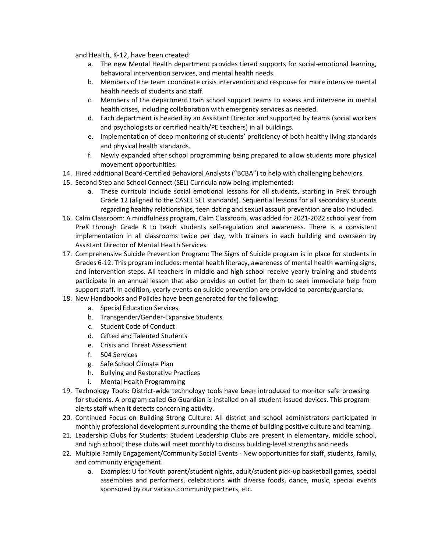and Health, K-12, have been created:

- a. The new Mental Health department provides tiered supports for social-emotional learning, behavioral intervention services, and mental health needs.
- b. Members of the team coordinate crisis intervention and response for more intensive mental health needs of students and staff.
- c. Members of the department train school support teams to assess and intervene in mental health crises, including collaboration with emergency services as needed.
- d. Each department is headed by an Assistant Director and supported by teams (social workers and psychologists or certified health/PE teachers) in all buildings.
- e. Implementation of deep monitoring of students' proficiency of both healthy living standards and physical health standards.
- f. Newly expanded after school programming being prepared to allow students more physical movement opportunities.
- 14. Hired additional Board-Certified Behavioral Analysts ("BCBA") to help with challenging behaviors.
- 15. Second Step and School Connect (SEL) Curricula now being implemented**:** 
	- a. These curricula include social emotional lessons for all students, starting in PreK through Grade 12 (aligned to the CASEL SEL standards). Sequential lessons for all secondary students regarding healthy relationships, teen dating and sexual assault prevention are also included.
- 16. Calm Classroom: A mindfulness program, Calm Classroom, was added for 2021-2022 school year from PreK through Grade 8 to teach students self-regulation and awareness. There is a consistent implementation in all classrooms twice per day, with trainers in each building and overseen by Assistant Director of Mental Health Services.
- 17. Comprehensive Suicide Prevention Program: The Signs of Suicide program is in place for students in Grades 6-12. This program includes: mental health literacy, awareness of mental health warning signs, and intervention steps. All teachers in middle and high school receive yearly training and students participate in an annual lesson that also provides an outlet for them to seek immediate help from support staff. In addition, yearly events on suicide prevention are provided to parents/guardians.
- 18. New Handbooks and Policies have been generated for the following:
	- a. Special Education Services
	- b. Transgender/Gender-Expansive Students
	- c. Student Code of Conduct
	- d. Gifted and Talented Students
	- e. Crisis and Threat Assessment
	- f. 504 Services
	- g. Safe School Climate Plan
	- h. Bullying and Restorative Practices
	- i. Mental Health Programming
- 19. Technology Tools**:** District-wide technology tools have been introduced to monitor safe browsing for students. A program called Go Guardian is installed on all student-issued devices. This program alerts staff when it detects concerning activity.
- 20. Continued Focus on Building Strong Culture: All district and school administrators participated in monthly professional development surrounding the theme of building positive culture and teaming.
- 21. Leadership Clubs for Students: Student Leadership Clubs are present in elementary, middle school, and high school; these clubs will meet monthly to discuss building-level strengths and needs.
- 22. Multiple Family Engagement/Community Social Events New opportunities for staff, students, family, and community engagement.
	- a. Examples: U for Youth parent/student nights, adult/student pick-up basketball games, special assemblies and performers, celebrations with diverse foods, dance, music, special events sponsored by our various community partners, etc.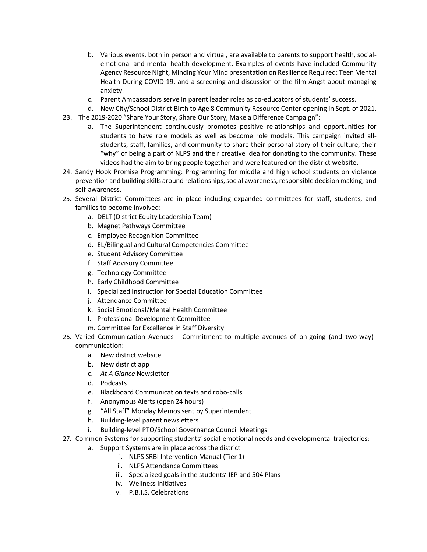- b. Various events, both in person and virtual, are available to parents to support health, socialemotional and mental health development. Examples of events have included Community Agency Resource Night, Minding Your Mind presentation on Resilience Required: Teen Mental Health During COVID-19, and a screening and discussion of the film Angst about managing anxiety.
- c. Parent Ambassadors serve in parent leader roles as co-educators of students' success.
- d. New City/School District Birth to Age 8 Community Resource Center opening in Sept. of 2021.
- 23. The 2019-2020 "Share Your Story, Share Our Story, Make a Difference Campaign":
	- a. The Superintendent continuously promotes positive relationships and opportunities for students to have role models as well as become role models. This campaign invited allstudents, staff, families, and community to share their personal story of their culture, their "why" of being a part of NLPS and their creative idea for donating to the community. These videos had the aim to bring people together and were featured on the district website.
- 24. Sandy Hook Promise Programming: Programming for middle and high school students on violence prevention and building skills around relationships, social awareness, responsible decision making, and self-awareness.
- 25. Several District Committees are in place including expanded committees for staff, students, and families to become involved:
	- a. DELT (District Equity Leadership Team)
	- b. Magnet Pathways Committee
	- c. Employee Recognition Committee
	- d. EL/Bilingual and Cultural Competencies Committee
	- e. Student Advisory Committee
	- f. Staff Advisory Committee
	- g. Technology Committee
	- h. Early Childhood Committee
	- i. Specialized Instruction for Special Education Committee
	- j. Attendance Committee
	- k. Social Emotional/Mental Health Committee
	- l. Professional Development Committee
	- m. Committee for Excellence in Staff Diversity
- 26. Varied Communication Avenues Commitment to multiple avenues of on-going (and two-way) communication:
	- a. New district website
	- b. New district app
	- c. *At A Glance* Newsletter
	- d. Podcasts
	- e. Blackboard Communication texts and robo-calls
	- f. Anonymous Alerts (open 24 hours)
	- g. "All Staff" Monday Memos sent by Superintendent
	- h. Building-level parent newsletters
	- i. Building-level PTO/School Governance Council Meetings
- 27. Common Systems for supporting students' social-emotional needs and developmental trajectories:
	- a. Support Systems are in place across the district
		- i. NLPS SRBI Intervention Manual (Tier 1)
			- ii. NLPS Attendance Committees
		- iii. Specialized goals in the students' IEP and 504 Plans
		- iv. Wellness Initiatives
		- v. P.B.I.S. Celebrations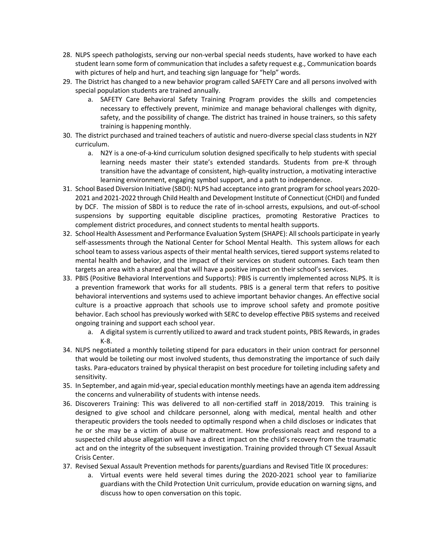- 28. NLPS speech pathologists, serving our non-verbal special needs students, have worked to have each student learn some form of communication that includes a safety request e.g., Communication boards with pictures of help and hurt, and teaching sign language for "help" words.
- 29. The District has changed to a new behavior program called SAFETY Care and all persons involved with special population students are trained annually.
	- a. SAFETY Care Behavioral Safety Training Program provides the skills and competencies necessary to effectively prevent, minimize and manage behavioral challenges with dignity, safety, and the possibility of change. The district has trained in house trainers, so this safety training is happening monthly.
- 30. The district purchased and trained teachers of autistic and nuero-diverse special class students in N2Y curriculum.
	- a. N2Y is a one-of-a-kind curriculum solution designed specifically to help students with special learning needs master their state's extended standards. Students from pre-K through transition have the advantage of consistent, high-quality instruction, a motivating interactive learning environment, engaging symbol support, and a path to independence.
- 31. School Based Diversion Initiative (SBDI): NLPS had acceptance into grant program for school years 2020- 2021 and 2021-2022 through Child Health and Development Institute of Connecticut (CHDI) and funded by DCF. The mission of SBDI is to reduce the rate of in-school arrests, expulsions, and out-of-school suspensions by supporting equitable discipline practices, promoting Restorative Practices to complement district procedures, and connect students to mental health supports.
- 32. School Health Assessment and Performance Evaluation System (SHAPE): All schools participate in yearly self-assessments through the National Center for School Mental Health. This system allows for each school team to assess various aspects of their mental health services, tiered support systems related to mental health and behavior, and the impact of their services on student outcomes. Each team then targets an area with a shared goal that will have a positive impact on their school's services.
- 33. PBIS (Positive Behavioral Interventions and Supports): PBIS is currently implemented across NLPS. It is a prevention framework that works for all students. PBIS is a general term that refers to positive behavioral interventions and systems used to achieve important behavior changes. An effective social culture is a proactive approach that schools use to improve school safety and promote positive behavior. Each school has previously worked with SERC to develop effective PBIS systems and received ongoing training and support each school year.
	- a. A digital system is currently utilized to award and track student points, PBIS Rewards, in grades K-8.
- 34. NLPS negotiated a monthly toileting stipend for para educators in their union contract for personnel that would be toileting our most involved students, thus demonstrating the importance of such daily tasks. Para-educators trained by physical therapist on best procedure for toileting including safety and sensitivity.
- 35. In September, and again mid-year, special education monthly meetings have an agenda item addressing the concerns and vulnerability of students with intense needs.
- 36. Discoverers Training: This was delivered to all non-certified staff in 2018/2019. This training is designed to give school and childcare personnel, along with medical, mental health and other therapeutic providers the tools needed to optimally respond when a child discloses or indicates that he or she may be a victim of abuse or maltreatment. How professionals react and respond to a suspected child abuse allegation will have a direct impact on the child's recovery from the traumatic act and on the integrity of the subsequent investigation. Training provided through CT Sexual Assault Crisis Center.
- 37. Revised Sexual Assault Prevention methods for parents/guardians and Revised Title IX procedures:
	- a. Virtual events were held several times during the 2020-2021 school year to familiarize guardians with the Child Protection Unit curriculum, provide education on warning signs, and discuss how to open conversation on this topic.